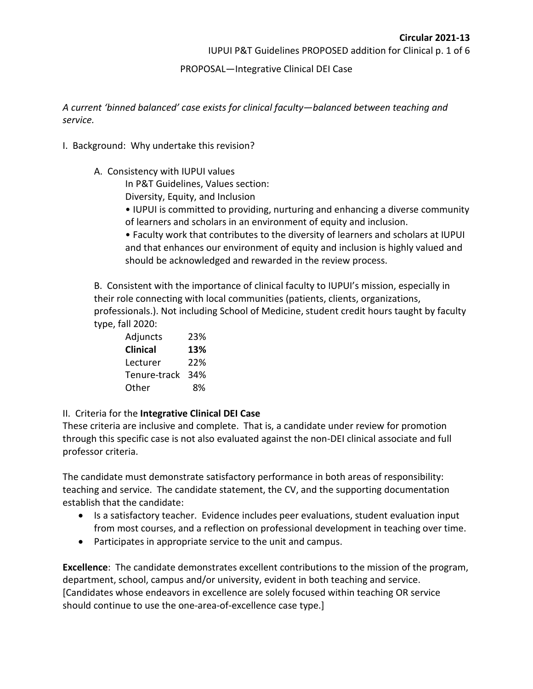IUPUI P&T Guidelines PROPOSED addition for Clinical p. 1 of 6

## PROPOSAL—Integrative Clinical DEI Case

*A current 'binned balanced' case exists for clinical faculty—balanced between teaching and service.* 

- I. Background: Why undertake this revision?
	- A. Consistency with IUPUI values

In P&T Guidelines, Values section:

Diversity, Equity, and Inclusion

- IUPUI is committed to providing, nurturing and enhancing a diverse community of learners and scholars in an environment of equity and inclusion.
- Faculty work that contributes to the diversity of learners and scholars at IUPUI and that enhances our environment of equity and inclusion is highly valued and should be acknowledged and rewarded in the review process.

B. Consistent with the importance of clinical faculty to IUPUI's mission, especially in their role connecting with local communities (patients, clients, organizations, professionals.). Not including School of Medicine, student credit hours taught by faculty type, fall 2020:

| Adjuncts     | 23% |
|--------------|-----|
| Clinical     | 13% |
| Lecturer     | 22% |
| Tenure-track | 34% |
| Other        | 8%  |

## II. Criteria for the **Integrative Clinical DEI Case**

These criteria are inclusive and complete. That is, a candidate under review for promotion through this specific case is not also evaluated against the non-DEI clinical associate and full professor criteria.

The candidate must demonstrate satisfactory performance in both areas of responsibility: teaching and service. The candidate statement, the CV, and the supporting documentation establish that the candidate:

- Is a satisfactory teacher. Evidence includes peer evaluations, student evaluation input from most courses, and a reflection on professional development in teaching over time.
- Participates in appropriate service to the unit and campus.

**Excellence**: The candidate demonstrates excellent contributions to the mission of the program, department, school, campus and/or university, evident in both teaching and service. [Candidates whose endeavors in excellence are solely focused within teaching OR service should continue to use the one-area-of-excellence case type.]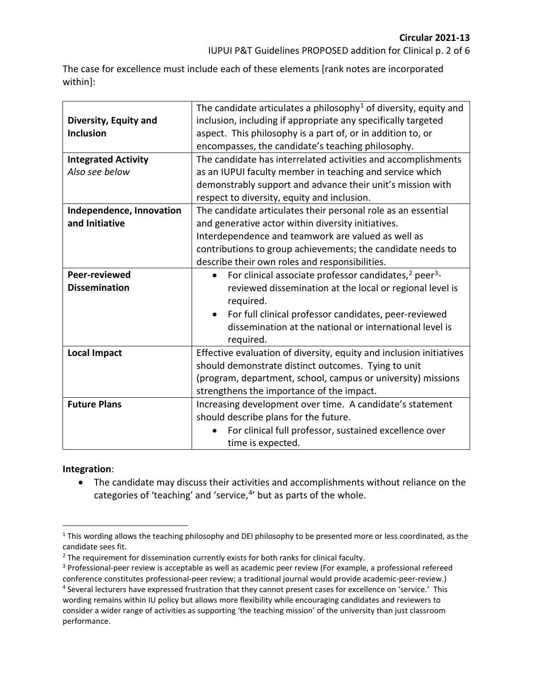The case for excellence must include each of these elements [rank notes are incorporated within]:

| Diversity, Equity and<br><b>Inclusion</b> | The candidate articulates a philosophy <sup>1</sup> of diversity, equity and<br>inclusion, including if appropriate any specifically targeted<br>aspect. This philosophy is a part of, or in addition to, or<br>encompasses, the candidate's teaching philosophy. |
|-------------------------------------------|-------------------------------------------------------------------------------------------------------------------------------------------------------------------------------------------------------------------------------------------------------------------|
| <b>Integrated Activity</b>                | The candidate has interrelated activities and accomplishments                                                                                                                                                                                                     |
| Also see below                            | as an IUPUI faculty member in teaching and service which                                                                                                                                                                                                          |
|                                           | demonstrably support and advance their unit's mission with                                                                                                                                                                                                        |
|                                           | respect to diversity, equity and inclusion.                                                                                                                                                                                                                       |
| Independence, Innovation                  | The candidate articulates their personal role as an essential                                                                                                                                                                                                     |
| and Initiative                            | and generative actor within diversity initiatives.                                                                                                                                                                                                                |
|                                           | Interdependence and teamwork are valued as well as                                                                                                                                                                                                                |
|                                           | contributions to group achievements; the candidate needs to                                                                                                                                                                                                       |
|                                           | describe their own roles and responsibilities.                                                                                                                                                                                                                    |
| Peer-reviewed                             | For clinical associate professor candidates, <sup>2</sup> peer <sup>3</sup> -<br>$\bullet$                                                                                                                                                                        |
| <b>Dissemination</b>                      | reviewed dissemination at the local or regional level is<br>required.                                                                                                                                                                                             |
|                                           | For full clinical professor candidates, peer-reviewed<br>$\bullet$                                                                                                                                                                                                |
|                                           | dissemination at the national or international level is<br>required.                                                                                                                                                                                              |
| <b>Local Impact</b>                       | Effective evaluation of diversity, equity and inclusion initiatives                                                                                                                                                                                               |
|                                           | should demonstrate distinct outcomes. Tying to unit                                                                                                                                                                                                               |
|                                           | (program, department, school, campus or university) missions                                                                                                                                                                                                      |
|                                           | strengthens the importance of the impact.                                                                                                                                                                                                                         |
| <b>Future Plans</b>                       | Increasing development over time. A candidate's statement                                                                                                                                                                                                         |
|                                           | should describe plans for the future.                                                                                                                                                                                                                             |
|                                           | For clinical full professor, sustained excellence over                                                                                                                                                                                                            |
|                                           | time is expected.                                                                                                                                                                                                                                                 |

## **Integration**:

• The candidate may discuss their activities and accomplishments without reliance on the categories of 'teaching' and 'service, $4$ ' but as parts of the whole.

<span id="page-1-0"></span> $1$  This wording allows the teaching philosophy and DEI philosophy to be presented more or less coordinated, as the candidate sees fit.

<span id="page-1-1"></span><sup>&</sup>lt;sup>2</sup> The requirement for dissemination currently exists for both ranks for clinical faculty.

<span id="page-1-2"></span><sup>3</sup> Professional-peer review is acceptable as well as academic peer review (For example, a professional refereed conference constitutes professional-peer review; a traditional journal would provide academic-peer-review.) <sup>4</sup> Several lecturers have expressed frustration that they cannot present cases for excellence on 'service.' This wording remains within IU policy but allows more flexibility while encouraging candidates and reviewers to

<span id="page-1-3"></span>consider a wider range of activities as supporting 'the teaching mission' of the university than just classroom performance.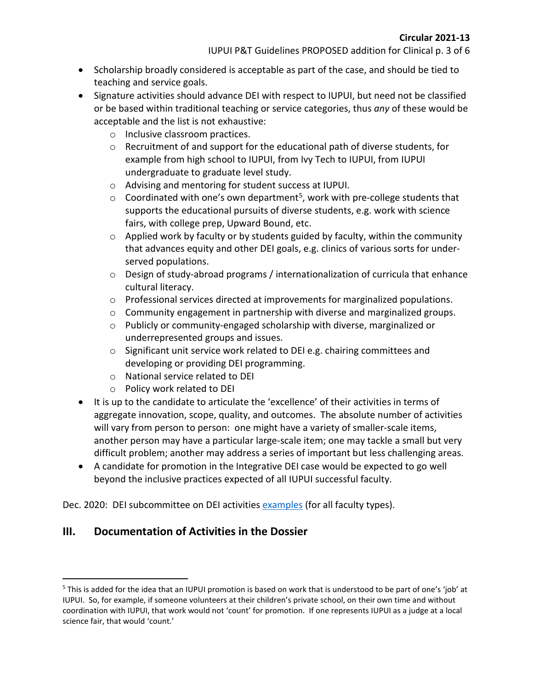- Scholarship broadly considered is acceptable as part of the case, and should be tied to teaching and service goals.
- Signature activities should advance DEI with respect to IUPUI, but need not be classified or be based within traditional teaching or service categories, thus *any* of these would be acceptable and the list is not exhaustive:
	- o Inclusive classroom practices.
	- o Recruitment of and support for the educational path of diverse students, for example from high school to IUPUI, from Ivy Tech to IUPUI, from IUPUI undergraduate to graduate level study.
	- o Advising and mentoring for student success at IUPUI.
	- $\circ$  Coordinated with one's own department<sup>5</sup>, work with pre-college students that supports the educational pursuits of diverse students, e.g. work with science fairs, with college prep, Upward Bound, etc.
	- $\circ$  Applied work by faculty or by students guided by faculty, within the community that advances equity and other DEI goals, e.g. clinics of various sorts for underserved populations.
	- o Design of study-abroad programs / internationalization of curricula that enhance cultural literacy.
	- o Professional services directed at improvements for marginalized populations.
	- $\circ$  Community engagement in partnership with diverse and marginalized groups.
	- o Publicly or community-engaged scholarship with diverse, marginalized or underrepresented groups and issues.
	- o Significant unit service work related to DEI e.g. chairing committees and developing or providing DEI programming.
	- o National service related to DEI
	- o Policy work related to DEI
- It is up to the candidate to articulate the 'excellence' of their activities in terms of aggregate innovation, scope, quality, and outcomes. The absolute number of activities will vary from person to person: one might have a variety of smaller-scale items, another person may have a particular large-scale item; one may tackle a small but very difficult problem; another may address a series of important but less challenging areas.
- A candidate for promotion in the Integrative DEI case would be expected to go well beyond the inclusive practices expected of all IUPUI successful faculty.

Dec. 2020: DEI subcommittee on DEI activities [examples](https://facultycouncil.iupui.edu/Committees/Subcommittee-on-DEI-Work-Metrics) (for all faculty types).

## **III. Documentation of Activities in the Dossier**

<span id="page-2-0"></span><sup>5</sup> This is added for the idea that an IUPUI promotion is based on work that is understood to be part of one's 'job' at IUPUI. So, for example, if someone volunteers at their children's private school, on their own time and without coordination with IUPUI, that work would not 'count' for promotion. If one represents IUPUI as a judge at a local science fair, that would 'count.'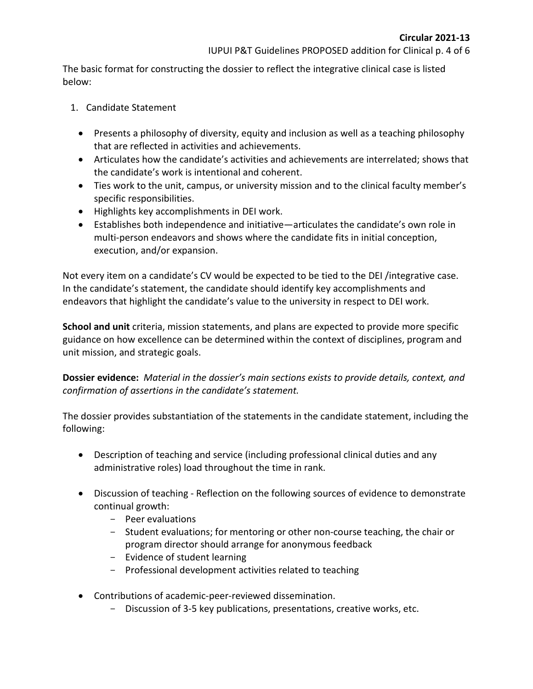The basic format for constructing the dossier to reflect the integrative clinical case is listed below:

- 1. Candidate Statement
	- Presents a philosophy of diversity, equity and inclusion as well as a teaching philosophy that are reflected in activities and achievements.
	- Articulates how the candidate's activities and achievements are interrelated; shows that the candidate's work is intentional and coherent.
	- Ties work to the unit, campus, or university mission and to the clinical faculty member's specific responsibilities.
	- Highlights key accomplishments in DEI work.
	- Establishes both independence and initiative—articulates the candidate's own role in multi-person endeavors and shows where the candidate fits in initial conception, execution, and/or expansion.

Not every item on a candidate's CV would be expected to be tied to the DEI /integrative case. In the candidate's statement, the candidate should identify key accomplishments and endeavors that highlight the candidate's value to the university in respect to DEI work.

**School and unit** criteria, mission statements, and plans are expected to provide more specific guidance on how excellence can be determined within the context of disciplines, program and unit mission, and strategic goals.

**Dossier evidence:** *Material in the dossier's main sections exists to provide details, context, and confirmation of assertions in the candidate's statement.* 

The dossier provides substantiation of the statements in the candidate statement, including the following:

- Description of teaching and service (including professional clinical duties and any administrative roles) load throughout the time in rank.
- Discussion of teaching Reflection on the following sources of evidence to demonstrate continual growth:
	- Peer evaluations
	- Student evaluations; for mentoring or other non-course teaching, the chair or program director should arrange for anonymous feedback
	- Evidence of student learning
	- Professional development activities related to teaching
- Contributions of academic-peer-reviewed dissemination.
	- Discussion of 3-5 key publications, presentations, creative works, etc.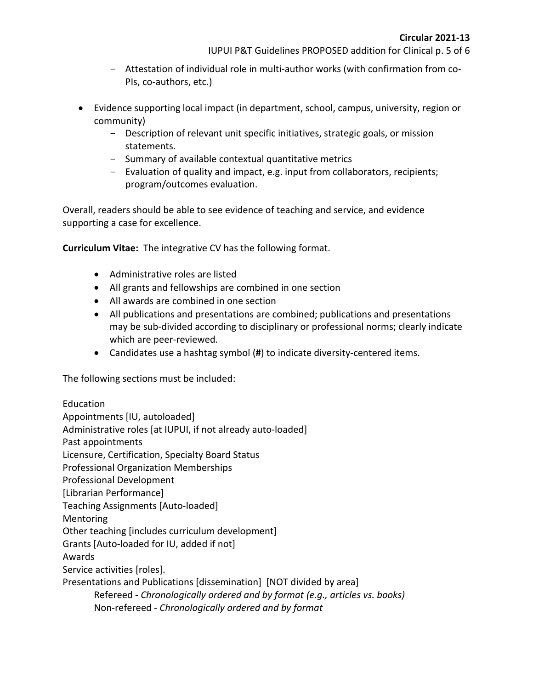- Attestation of individual role in multi-author works (with confirmation from co-PIs, co-authors, etc.)
- Evidence supporting local impact (in department, school, campus, university, region or community)
	- Description of relevant unit specific initiatives, strategic goals, or mission statements.
	- Summary of available contextual quantitative metrics
	- Evaluation of quality and impact, e.g. input from collaborators, recipients; program/outcomes evaluation.

Overall, readers should be able to see evidence of teaching and service, and evidence supporting a case for excellence.

**Curriculum Vitae:** The integrative CV has the following format.

- Administrative roles are listed
- All grants and fellowships are combined in one section
- All awards are combined in one section
- All publications and presentations are combined; publications and presentations may be sub-divided according to disciplinary or professional norms; clearly indicate which are peer-reviewed.
- Candidates use a hashtag symbol (**#**) to indicate diversity-centered items.

The following sections must be included:

Education Appointments [IU, autoloaded] Administrative roles [at IUPUI, if not already auto-loaded] Past appointments Licensure, Certification, Specialty Board Status Professional Organization Memberships Professional Development [Librarian Performance] Teaching Assignments [Auto-loaded] Mentoring Other teaching [includes curriculum development] Grants [Auto-loaded for IU, added if not] Awards Service activities [roles]. Presentations and Publications [dissemination] [NOT divided by area] Refereed - *Chronologically ordered and by format (e.g., articles vs. books)* Non-refereed - *Chronologically ordered and by format*